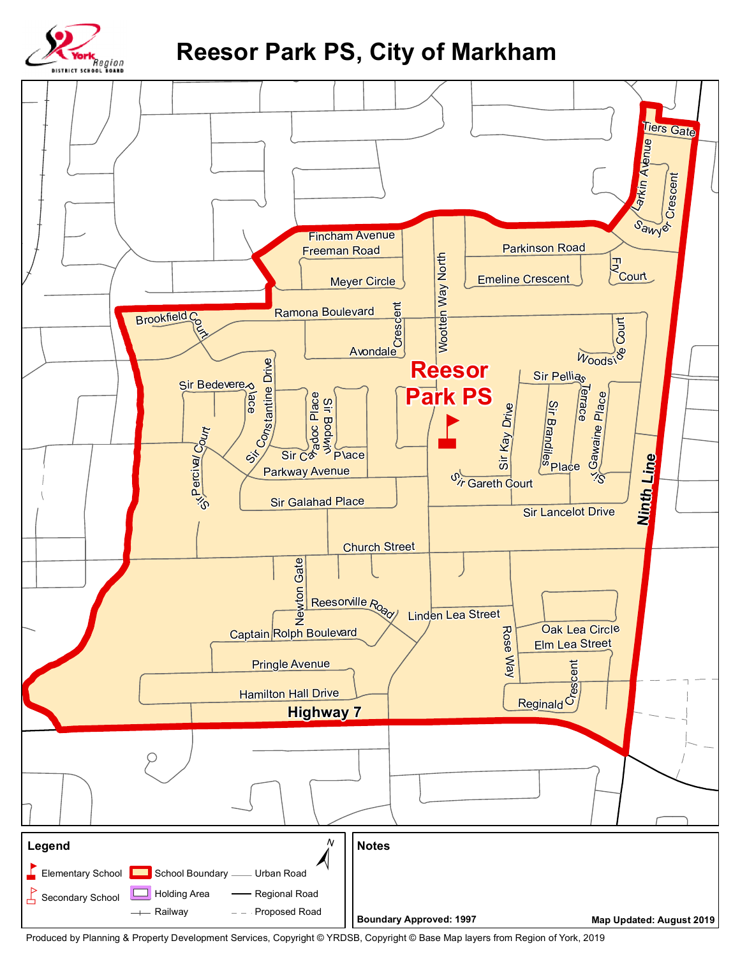

## **Reesor Park PS, City of Markham**



Produced by Planning & Property Development Services, Copyright © YRDSB, Copyright © Base Map layers from Region of York, 2019